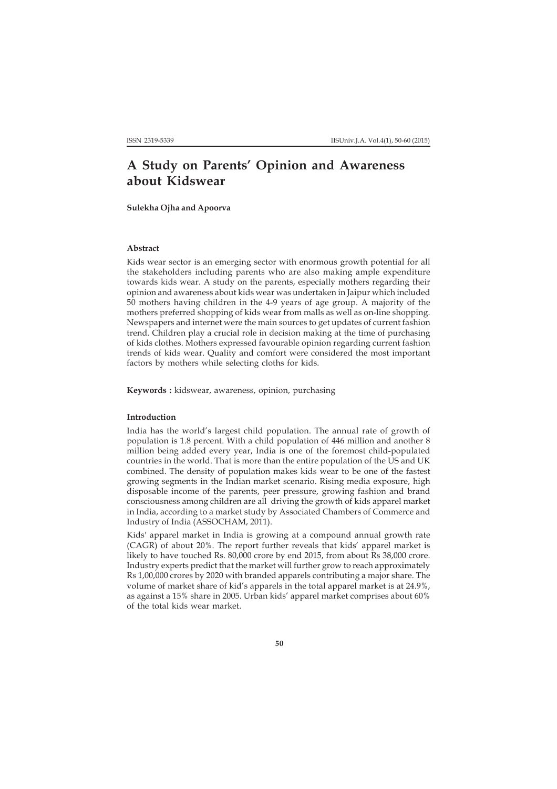# **A Study on Parents' Opinion and Awareness about Kidswear**

**Sulekha Ojha and Apoorva**

## **Abstract**

Kids wear sector is an emerging sector with enormous growth potential for all the stakeholders including parents who are also making ample expenditure towards kids wear. A study on the parents, especially mothers regarding their opinion and awareness about kids wear was undertaken in Jaipur which included 50 mothers having children in the 4-9 years of age group. A majority of the mothers preferred shopping of kids wear from malls as well as on-line shopping. Newspapers and internet were the main sources to get updates of current fashion trend. Children play a crucial role in decision making at the time of purchasing of kids clothes. Mothers expressed favourable opinion regarding current fashion trends of kids wear. Quality and comfort were considered the most important factors by mothers while selecting cloths for kids.

**Keywords :** kidswear, awareness, opinion, purchasing

## **Introduction**

India has the world's largest child population. The annual rate of growth of population is 1.8 percent. With a child population of 446 million and another 8 million being added every year, India is one of the foremost child-populated countries in the world. That is more than the entire population of the US and UK combined. The density of population makes kids wear to be one of the fastest growing segments in the Indian market scenario. Rising media exposure, high disposable income of the parents, peer pressure, growing fashion and brand consciousness among children are all driving the growth of kids apparel market in India, according to a market study by Associated Chambers of Commerce and Industry of India (ASSOCHAM, 2011).

Kids' apparel market in India is growing at a compound annual growth rate (CAGR) of about 20%. The report further reveals that kids' apparel market is likely to have touched Rs. 80,000 crore by end 2015, from about Rs 38,000 crore. Industry experts predict that the market will further grow to reach approximately Rs 1,00,000 crores by 2020 with branded apparels contributing a major share. The volume of market share of kid's apparels in the total apparel market is at 24.9%, as against a 15% share in 2005. Urban kids' apparel market comprises about 60% of the total kids wear market.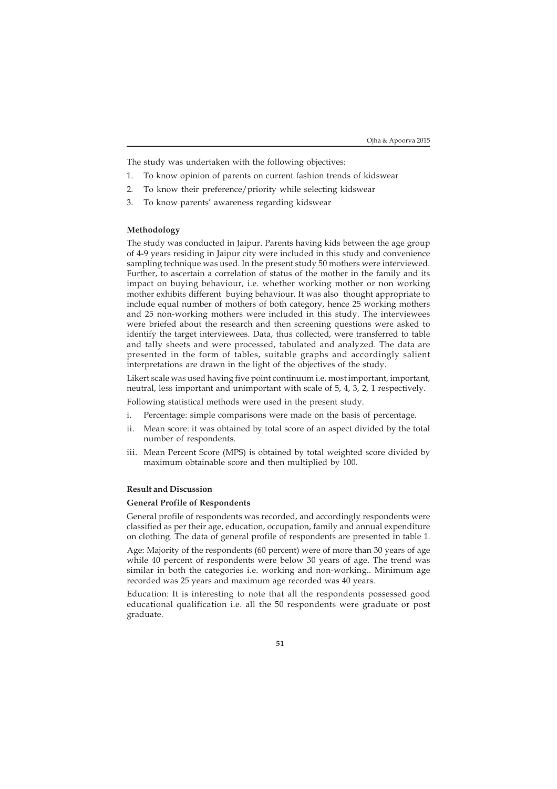The study was undertaken with the following objectives:

- 1. To know opinion of parents on current fashion trends of kidswear
- 2. To know their preference/priority while selecting kidswear
- 3. To know parents' awareness regarding kidswear

## **Methodology**

The study was conducted in Jaipur. Parents having kids between the age group of 4-9 years residing in Jaipur city were included in this study and convenience sampling technique was used. In the present study 50 mothers were interviewed. Further, to ascertain a correlation of status of the mother in the family and its impact on buying behaviour, i.e. whether working mother or non working mother exhibits different buying behaviour. It was also thought appropriate to include equal number of mothers of both category, hence 25 working mothers and 25 non-working mothers were included in this study. The interviewees were briefed about the research and then screening questions were asked to identify the target interviewees. Data, thus collected, were transferred to table and tally sheets and were processed, tabulated and analyzed. The data are presented in the form of tables, suitable graphs and accordingly salient interpretations are drawn in the light of the objectives of the study.

Likert scale was used having five point continuum i.e. most important, important, neutral, less important and unimportant with scale of 5, 4, 3, 2, 1 respectively.

Following statistical methods were used in the present study.

- i. Percentage: simple comparisons were made on the basis of percentage.
- ii. Mean score: it was obtained by total score of an aspect divided by the total number of respondents.
- iii. Mean Percent Score (MPS) is obtained by total weighted score divided by maximum obtainable score and then multiplied by 100.

#### **Result and Discussion**

## **General Profile of Respondents**

General profile of respondents was recorded, and accordingly respondents were classified as per their age, education, occupation, family and annual expenditure on clothing. The data of general profile of respondents are presented in table 1.

Age: Majority of the respondents (60 percent) were of more than 30 years of age while 40 percent of respondents were below 30 years of age. The trend was similar in both the categories i.e. working and non-working.. Minimum age recorded was 25 years and maximum age recorded was 40 years.

Education: It is interesting to note that all the respondents possessed good educational qualification i.e. all the 50 respondents were graduate or post graduate.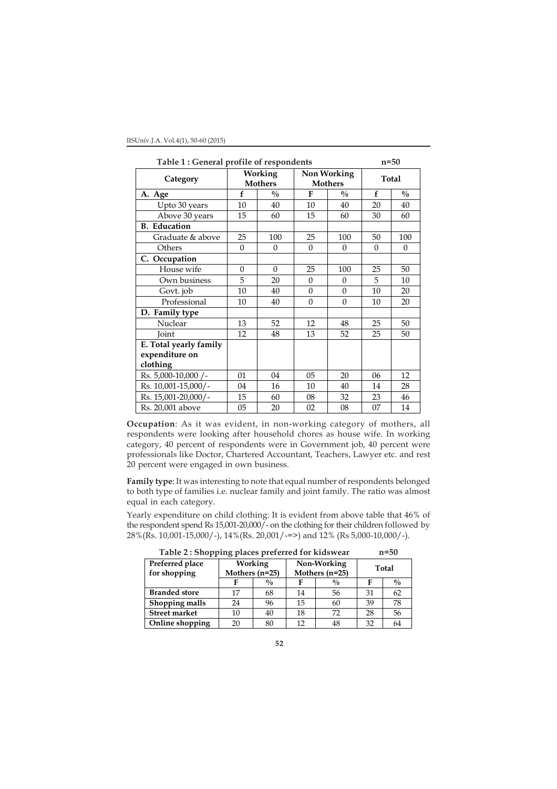| Table 1: General profile of respondents | $n=50$   |                           |                               |               |          |               |
|-----------------------------------------|----------|---------------------------|-------------------------------|---------------|----------|---------------|
| Category                                |          | Working<br><b>Mothers</b> | Non Working<br><b>Mothers</b> |               | Total    |               |
| A. Age                                  | f        | $\frac{0}{0}$             | $\mathbf{F}$                  | $\frac{0}{0}$ | f        | $\frac{0}{0}$ |
| Upto 30 years                           | 10       | 40                        | 10                            | 40            | 20       | 40            |
| Above 30 years                          | 15       | 60                        | 15                            | 60            | 30       | 60            |
| <b>B.</b> Education                     |          |                           |                               |               |          |               |
| Graduate & above                        | 25       | 100                       | 25                            | 100           | 50       | 100           |
| Others                                  | $\Omega$ | $\theta$                  | $\Omega$                      | $\Omega$      | $\Omega$ | $\Omega$      |
| C. Occupation                           |          |                           |                               |               |          |               |
| House wife                              | $\theta$ | $\theta$                  | 25                            | 100           | 25       | 50            |
| Own business                            | 5        | 20                        | $\Omega$                      | $\Omega$      | 5        | 10            |
| Govt. job                               | 10       | 40                        | 0                             | $\mathbf{0}$  | 10       | 20            |
| Professional                            | 10       | 40                        | $\Omega$                      | $\theta$      | 10       | 20            |
| D. Family type                          |          |                           |                               |               |          |               |
| Nuclear                                 | 13       | 52                        | 12                            | 48            | 25       | 50            |
| <b>Joint</b>                            | 12       | 48                        | 13                            | 52            | 25       | 50            |
| E. Total yearly family                  |          |                           |                               |               |          |               |
| expenditure on                          |          |                           |                               |               |          |               |
| clothing                                |          |                           |                               |               |          |               |
| Rs. 5,000-10,000 /-                     | 01       | 04                        | 05                            | 20            | 06       | 12            |
| Rs. 10,001-15,000/-                     | 04       | 16                        | 10                            | 40            | 14       | 28            |
| Rs. 15,001-20,000/-                     | 15       | 60                        | 08                            | 32            | 23       | 46            |
| Rs. 20,001 above                        | 05       | 20                        | 02                            | 08            | 07       | 14            |

**Occupation**: As it was evident, in non-working category of mothers, all respondents were looking after household chores as house wife. In working category, 40 percent of respondents were in Government job, 40 percent were professionals like Doctor, Chartered Accountant, Teachers, Lawyer etc. and rest 20 percent were engaged in own business.

**Family type**: It was interesting to note that equal number of respondents belonged to both type of families i.e. nuclear family and joint family. The ratio was almost equal in each category.

Yearly expenditure on child clothing: It is evident from above table that 46% of the respondent spend Rs 15,001-20,000/- on the clothing for their children followed by 28%(Rs. 10,001-15,000/-), 14%(Rs. 20,001/-=>) and 12% (Rs 5,000-10,000/-).

| Table 2: Shopping places preferred for kidswear | $n=50$ |
|-------------------------------------------------|--------|
|                                                 |        |

| Preferred place<br>for shopping | <b>Working</b><br>Mothers (n=25) |               |    | Non-Working<br>Mothers (n=25) | Total |               |  |
|---------------------------------|----------------------------------|---------------|----|-------------------------------|-------|---------------|--|
|                                 |                                  | $\frac{0}{0}$ | F  | $\frac{0}{0}$                 |       | $\frac{0}{0}$ |  |
| <b>Branded store</b>            | 17                               | 68            | 14 | 56                            | 31    | 62            |  |
| Shopping malls                  | 24                               | 96            | 15 | 60                            | 39    | 78            |  |
| <b>Street market</b>            | 10                               | 40            | 18 | 72                            | 28    | 56            |  |
| Online shopping                 | 20                               | 80            | 12 | 48                            | 32    | 64            |  |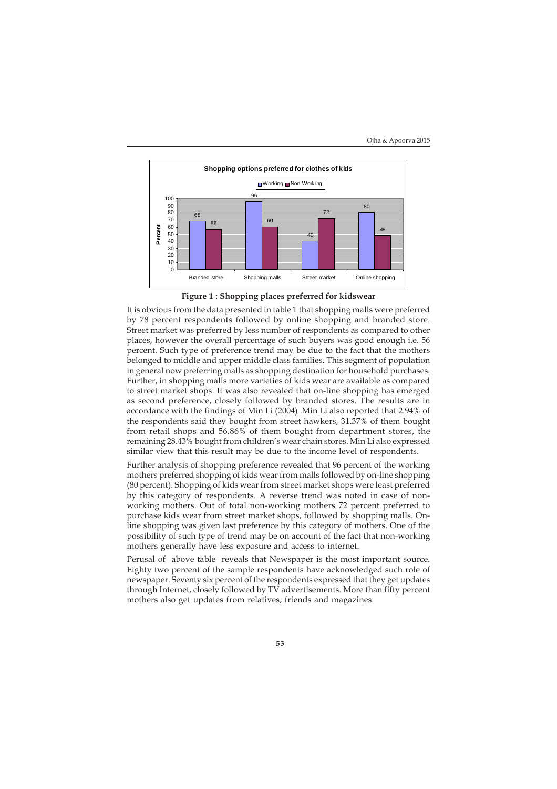

**Figure 1 : Shopping places preferred for kidswear**

It is obvious from the data presented in table 1 that shopping malls were preferred by 78 percent respondents followed by online shopping and branded store. Street market was preferred by less number of respondents as compared to other places, however the overall percentage of such buyers was good enough i.e. 56 percent. Such type of preference trend may be due to the fact that the mothers belonged to middle and upper middle class families. This segment of population in general now preferring malls as shopping destination for household purchases. Further, in shopping malls more varieties of kids wear are available as compared to street market shops. It was also revealed that on-line shopping has emerged as second preference, closely followed by branded stores. The results are in accordance with the findings of Min Li (2004) .Min Li also reported that 2.94% of the respondents said they bought from street hawkers, 31.37% of them bought from retail shops and 56.86% of them bought from department stores, the remaining 28.43% bought from children's wear chain stores. Min Li also expressed similar view that this result may be due to the income level of respondents.

Further analysis of shopping preference revealed that 96 percent of the working mothers preferred shopping of kids wear from malls followed by on-line shopping (80 percent). Shopping of kids wear from street market shops were least preferred by this category of respondents. A reverse trend was noted in case of nonworking mothers. Out of total non-working mothers 72 percent preferred to purchase kids wear from street market shops, followed by shopping malls. Online shopping was given last preference by this category of mothers. One of the possibility of such type of trend may be on account of the fact that non-working mothers generally have less exposure and access to internet.

Perusal of above table reveals that Newspaper is the most important source. Eighty two percent of the sample respondents have acknowledged such role of newspaper. Seventy six percent of the respondents expressed that they get updates through Internet, closely followed by TV advertisements. More than fifty percent mothers also get updates from relatives, friends and magazines.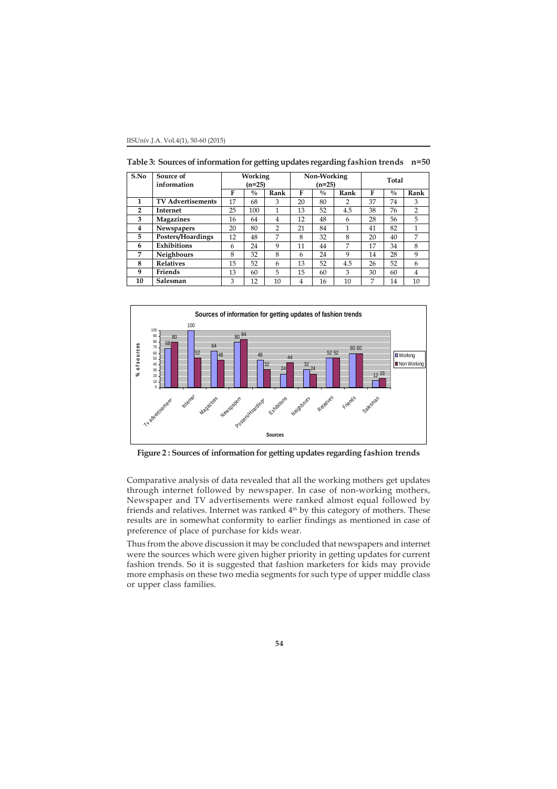| S.No           | Source of<br>information | Working<br>(n=25) |               | Non-Working<br>$(n=25)$ |    |             | <b>Total</b>   |    |             |                |
|----------------|--------------------------|-------------------|---------------|-------------------------|----|-------------|----------------|----|-------------|----------------|
|                |                          | F                 | $\frac{0}{0}$ | Rank                    | F  | $^{0}/_{0}$ | Rank           | F  | $^{0}/_{0}$ | Rank           |
| 1              | <b>TV Advertisements</b> | 17                | 68            | 3                       | 20 | 80          | $\overline{2}$ | 37 | 74          | 3              |
| $\overline{2}$ | <b>Internet</b>          | 25                | 100           | 1                       | 13 | 52          | 4.5            | 38 | 76          | $\overline{2}$ |
| 3              | <b>Magazines</b>         | 16                | 64            | 4                       | 12 | 48          | 6              | 28 | 56          | 5              |
| 4              | <b>Newspapers</b>        | 20                | 80            | 2                       | 21 | 84          |                | 41 | 82          | 1              |
| 5.             | Posters/Hoardings        | 12                | 48            | 7                       | 8  | 32          | 8              | 20 | 40          | 7              |
| 6              | Exhibitions              | 6                 | 24            | 9                       | 11 | 44          | 7              | 17 | 34          | 8              |
| 7              | Neighbours               | 8                 | 32            | 8                       | 6  | 24          | 9              | 14 | 28          | 9              |
| 8              | <b>Relatives</b>         | 15                | 52            | 6                       | 13 | 52          | 4.5            | 26 | 52          | 6              |
| 9              | Friends                  | 13                | 60            | 5                       | 15 | 60          | 3              | 30 | 60          | 4              |
| 10             | Salesman                 | 3                 | 12            | 10                      | 4  | 16          | 10             | 7  | 14          | 10             |

**Table 3: Sources of information for getting updates regarding fashion trends n=50**



**Figure 2 : Sources of information for getting updates regarding fashion trends**

Comparative analysis of data revealed that all the working mothers get updates through internet followed by newspaper. In case of non-working mothers, Newspaper and TV advertisements were ranked almost equal followed by friends and relatives. Internet was ranked 4<sup>th</sup> by this category of mothers. These results are in somewhat conformity to earlier findings as mentioned in case of preference of place of purchase for kids wear.

Thus from the above discussion it may be concluded that newspapers and internet were the sources which were given higher priority in getting updates for current fashion trends. So it is suggested that fashion marketers for kids may provide more emphasis on these two media segments for such type of upper middle class or upper class families.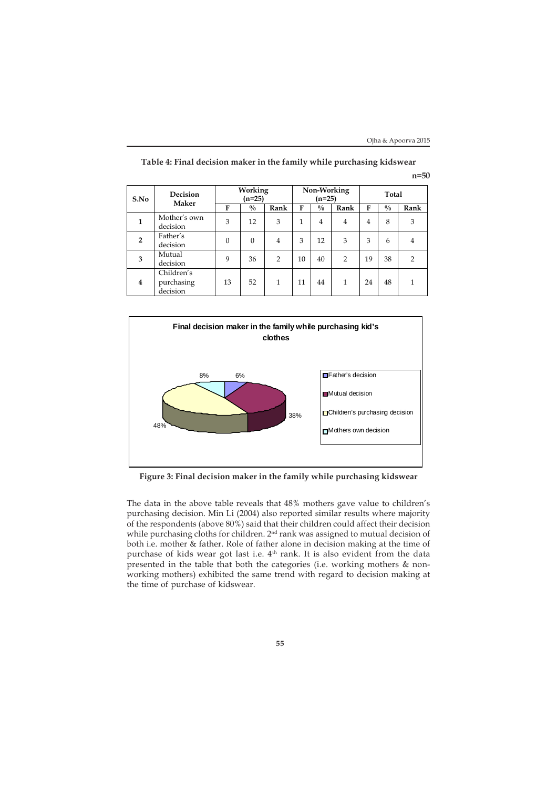| S.No                    | Decision<br><b>Maker</b>             | Working<br>$(n=25)$ |               |                | Non-Working<br>$(n=25)$ |                |                | Total          |               |                |
|-------------------------|--------------------------------------|---------------------|---------------|----------------|-------------------------|----------------|----------------|----------------|---------------|----------------|
|                         |                                      | F                   | $\frac{0}{0}$ | Rank           | F                       | $\frac{0}{0}$  | Rank           | F              | $\frac{0}{0}$ | Rank           |
| $\mathbf{1}$            | Mother's own<br>decision             | 3                   | 12            | 3              | 1                       | $\overline{4}$ | $\overline{4}$ | $\overline{4}$ | 8             | 3              |
| $\overline{2}$          | Father's<br>decision                 | $\Omega$            | $\Omega$      | 4              | 3                       | 12             | 3              | 3              | 6             | $\overline{4}$ |
| 3                       | Mutual<br>decision                   | 9                   | 36            | $\overline{2}$ | 10                      | 40             | $\overline{2}$ | 19             | 38            | 2              |
| $\overline{\mathbf{4}}$ | Children's<br>purchasing<br>decision | 13                  | 52            | 1              | 11                      | 44             | $\mathbf{1}$   | 24             | 48            | 1              |

**Table 4: Final decision maker in the family while purchasing kidswear n=50**



**Figure 3: Final decision maker in the family while purchasing kidswear**

The data in the above table reveals that 48% mothers gave value to children's purchasing decision. Min Li (2004) also reported similar results where majority of the respondents (above 80%) said that their children could affect their decision while purchasing cloths for children. 2<sup>nd</sup> rank was assigned to mutual decision of both i.e. mother & father. Role of father alone in decision making at the time of purchase of kids wear got last i.e.  $4<sup>th</sup>$  rank. It is also evident from the data presented in the table that both the categories (i.e. working mothers & nonworking mothers) exhibited the same trend with regard to decision making at the time of purchase of kidswear.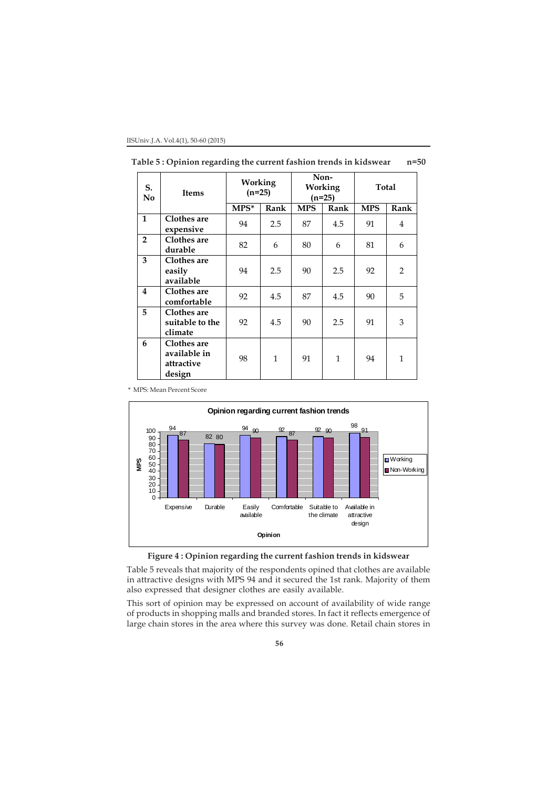| S.<br>No                | <b>Items</b>                                        | <b>Working</b><br>$(n=25)$ |              |            | Non-<br>Working<br>$(n=25)$ | Total      |                |  |
|-------------------------|-----------------------------------------------------|----------------------------|--------------|------------|-----------------------------|------------|----------------|--|
|                         |                                                     | $MPS^*$                    | Rank         | <b>MPS</b> | Rank                        | <b>MPS</b> | Rank           |  |
| $\mathbf{1}$            | Clothes are<br>expensive                            | 94                         | 2.5          | 87         | 4.5                         | 91         | 4              |  |
| $\overline{2}$          | Clothes are<br>durable                              | 82                         | 6            | 80         | 6                           | 81         | 6              |  |
| 3                       | Clothes are<br>easily<br>available                  | 94                         | 2.5          | 90         | 2.5                         | 92         | $\overline{2}$ |  |
| $\overline{\mathbf{4}}$ | Clothes are<br>comfortable                          | 92                         | 4.5          | 87         | 4.5                         | 90         | 5              |  |
| 5                       | Clothes are<br>suitable to the<br>climate           | 92                         | 4.5          | 90         | 2.5                         | 91         | 3              |  |
| 6                       | Clothes are<br>available in<br>attractive<br>design | 98                         | $\mathbf{1}$ | 91         | $\mathbf{1}$                | 94         | $\mathbf{1}$   |  |

**Table 5 : Opinion regarding the current fashion trends in kidswear n=50**

\* MPS: Mean Percent Score





Table 5 reveals that majority of the respondents opined that clothes are available in attractive designs with MPS 94 and it secured the 1st rank. Majority of them also expressed that designer clothes are easily available.

This sort of opinion may be expressed on account of availability of wide range of products in shopping malls and branded stores. In fact it reflects emergence of large chain stores in the area where this survey was done. Retail chain stores in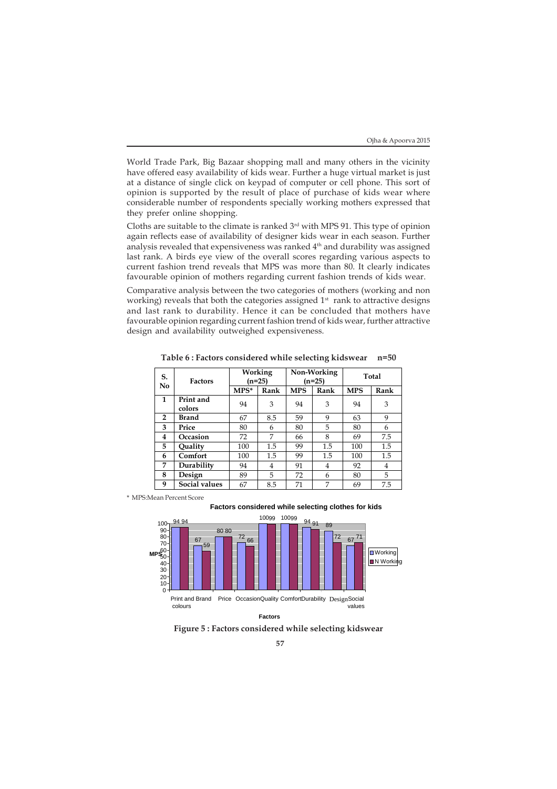World Trade Park, Big Bazaar shopping mall and many others in the vicinity have offered easy availability of kids wear. Further a huge virtual market is just at a distance of single click on keypad of computer or cell phone. This sort of opinion is supported by the result of place of purchase of kids wear where considerable number of respondents specially working mothers expressed that they prefer online shopping.

Cloths are suitable to the climate is ranked  $3<sup>rd</sup>$  with MPS 91. This type of opinion again reflects ease of availability of designer kids wear in each season. Further analysis revealed that expensiveness was ranked 4<sup>th</sup> and durability was assigned last rank. A birds eye view of the overall scores regarding various aspects to current fashion trend reveals that MPS was more than 80. It clearly indicates favourable opinion of mothers regarding current fashion trends of kids wear.

Comparative analysis between the two categories of mothers (working and non working) reveals that both the categories assigned 1<sup>st</sup> rank to attractive designs and last rank to durability. Hence it can be concluded that mothers have favourable opinion regarding current fashion trend of kids wear, further attractive design and availability outweighed expensiveness.

| S.<br>N <sub>0</sub> | <b>Factors</b>      | Working<br>(n=25) |      |            | Non-Working<br>$(n=25)$ | Total      |      |  |
|----------------------|---------------------|-------------------|------|------------|-------------------------|------------|------|--|
|                      |                     | $MPS^*$           | Rank | <b>MPS</b> | Rank                    | <b>MPS</b> | Rank |  |
| 1                    | Print and<br>colors | 94                | 3    | 94         | 3                       | 94         | 3    |  |
| $\overline{2}$       | Brand               | 67                | 8.5  | 59         | 9                       | 63         | 9    |  |
| 3                    | Price               | 80                | 6    | 80         | 5                       | 80         | 6    |  |
| 4                    | Occasion            | 72                | 7    | 66         | 8                       | 69         | 7.5  |  |
| 5                    | Ouality             | 100               | 1.5  | 99         | 1.5                     | 100        | 1.5  |  |
| 6                    | Comfort             | 100               | 1.5  | 99         | 1.5                     | 100        | 1.5  |  |
| 7                    | Durability          | 94                | 4    | 91         | 4                       | 92         | 4    |  |
| 8                    | Design              | 89                | 5    | 72         | 6                       | 80         | 5    |  |
| 9                    | Social values       | 67                | 8.5  | 71         | 7                       | 69         | 7.5  |  |

**Table 6 : Factors considered while selecting kidswear n=50**

\* MPS:Mean Percent Score





**Figure 5 : Factors considered while selecting kidswear**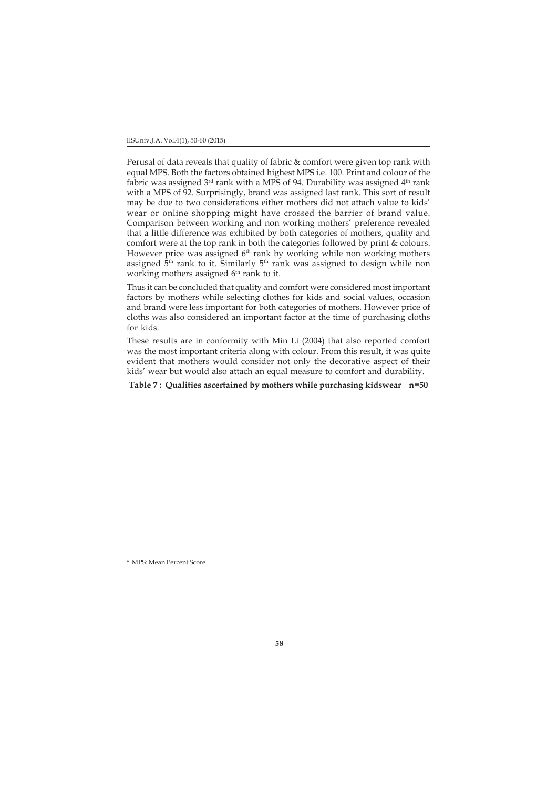IISUniv.J.A. Vol.4(1), 50-60 (2015)

Perusal of data reveals that quality of fabric & comfort were given top rank with equal MPS. Both the factors obtained highest MPS i.e. 100. Print and colour of the fabric was assigned  $3^{rd}$  rank with a MPS of 94. Durability was assigned  $4^{th}$  rank with a MPS of 92. Surprisingly, brand was assigned last rank. This sort of result may be due to two considerations either mothers did not attach value to kids' wear or online shopping might have crossed the barrier of brand value. Comparison between working and non working mothers' preference revealed that a little difference was exhibited by both categories of mothers, quality and comfort were at the top rank in both the categories followed by print & colours. However price was assigned 6<sup>th</sup> rank by working while non working mothers assigned  $5<sup>th</sup>$  rank to it. Similarly  $5<sup>th</sup>$  rank was assigned to design while non working mothers assigned 6<sup>th</sup> rank to it.

Thus it can be concluded that quality and comfort were considered most important factors by mothers while selecting clothes for kids and social values, occasion and brand were less important for both categories of mothers. However price of cloths was also considered an important factor at the time of purchasing cloths for kids.

These results are in conformity with Min Li (2004) that also reported comfort was the most important criteria along with colour. From this result, it was quite evident that mothers would consider not only the decorative aspect of their kids' wear but would also attach an equal measure to comfort and durability.

**Table 7 : Qualities ascertained by mothers while purchasing kidswear n=50**

\* MPS: Mean Percent Score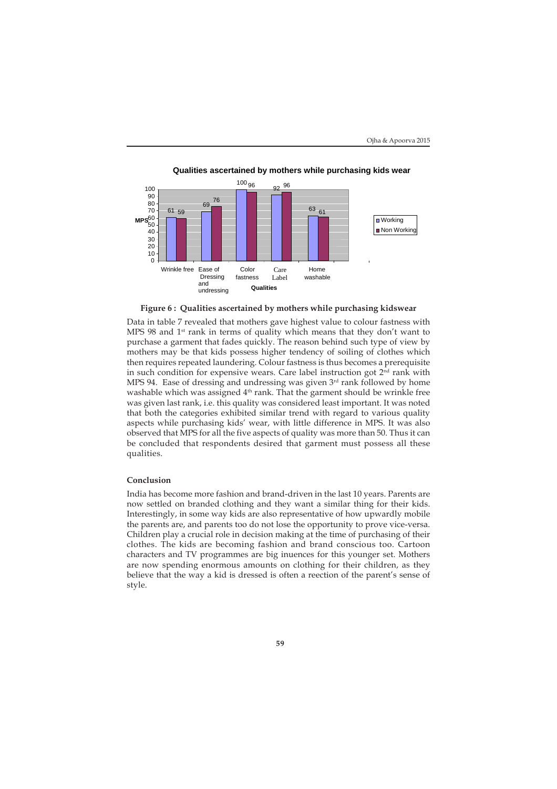

**Qualities ascertained by mothers while purchasing kids wear**

**Figure 6 : Qualities ascertained by mothers while purchasing kidswear**

Data in table 7 revealed that mothers gave highest value to colour fastness with MPS 98 and 1<sup>st</sup> rank in terms of quality which means that they don't want to purchase a garment that fades quickly. The reason behind such type of view by mothers may be that kids possess higher tendency of soiling of clothes which then requires repeated laundering. Colour fastness is thus becomes a prerequisite in such condition for expensive wears. Care label instruction got  $2<sup>nd</sup>$  rank with MPS 94. Ease of dressing and undressing was given 3rd rank followed by home washable which was assigned 4<sup>th</sup> rank. That the garment should be wrinkle free was given last rank, i.e. this quality was considered least important. It was noted that both the categories exhibited similar trend with regard to various quality aspects while purchasing kids' wear, with little difference in MPS. It was also observed that MPS for all the five aspects of quality was more than 50. Thus it can be concluded that respondents desired that garment must possess all these qualities.

## **Conclusion**

India has become more fashion and brand-driven in the last 10 years. Parents are now settled on branded clothing and they want a similar thing for their kids. Interestingly, in some way kids are also representative of how upwardly mobile the parents are, and parents too do not lose the opportunity to prove vice-versa. Children play a crucial role in decision making at the time of purchasing of their clothes. The kids are becoming fashion and brand conscious too. Cartoon characters and TV programmes are big inuences for this younger set. Mothers are now spending enormous amounts on clothing for their children, as they believe that the way a kid is dressed is often a reection of the parent's sense of style.